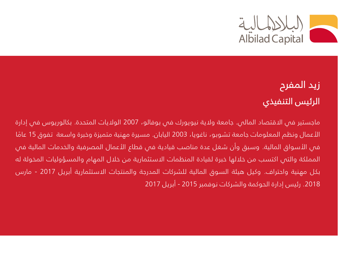

## زيد المفرح الرئيس التنفيذي

ماجستير في الاقتصاد المالي. جامعة ولاية نيويورك في بوفالو، 2007 الولايات المتحدة. بكالوريوس في إدارة الأعمال ونظم المعلومات جامعة تشوبو، ناغويا، 2003 اليابان. مسيرة مهنية متميزة وخبرة واسعة تفوق 15 عامًا فص الأسواق المالية. وسبق وأن شغل عدة مناصب قيادية فص قطاع الأعمال المصرفية والخدمات المالية فص المملكة والتي اكتسب من خاللها خبرة لقيادة المنظمات االستثمارية من خالل المهام والمسؤوليات المخولة له بكل مهنية واحتراف. وكيل هيئة السوق المالية للشركات المدرجة والمنتجات االستثمارية أبريل 2017 - مارس .2018 رئيس إدارة الحوكمة والشركات نوفمبر 2015 - أبريل 2017